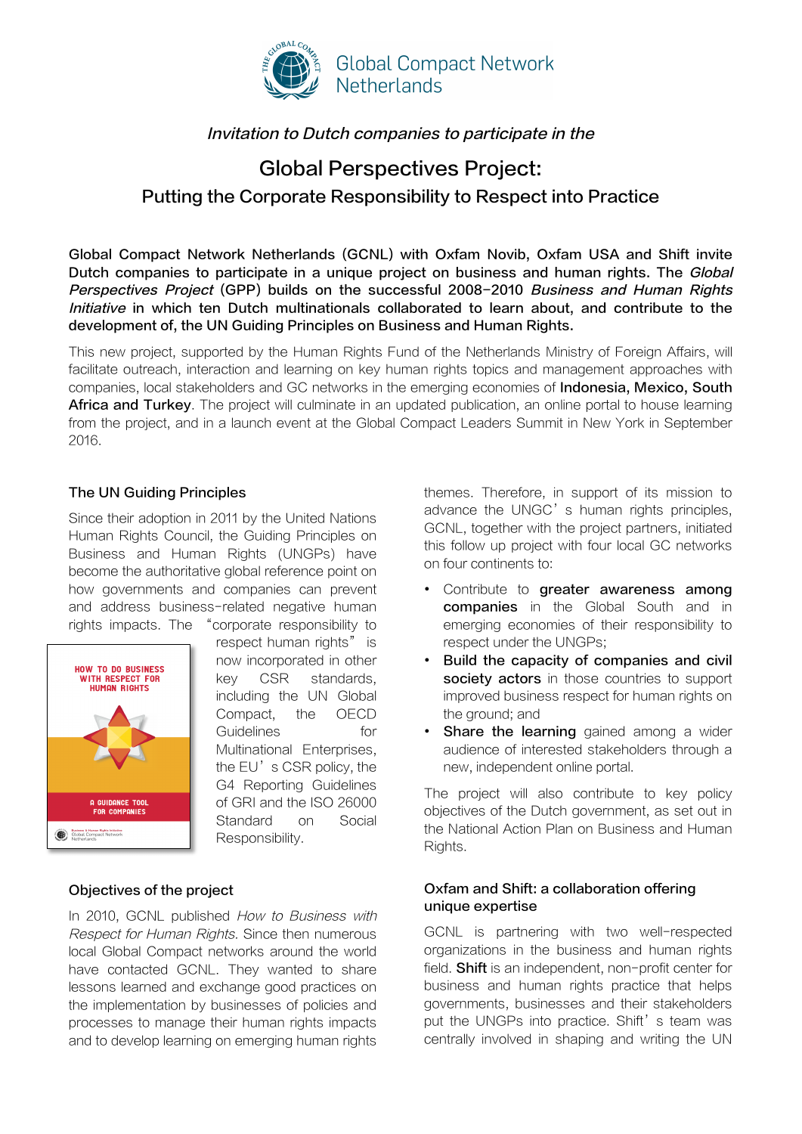

# Invitation to Dutch companies to participate in the

# Global Perspectives Project: Putting the Corporate Responsibility to Respect into Practice

Global Compact Network Netherlands (GCNL) with Oxfam Novib, Oxfam USA and Shift invite Dutch companies to participate in a unique project on business and human rights. The Global Perspectives Project (GPP) builds on the successful 2008-2010 Business and Human Rights Initiative in which ten Dutch multinationals collaborated to learn about, and contribute to the development of, the UN Guiding Principles on Business and Human Rights.

This new project, supported by the Human Rights Fund of the Netherlands Ministry of Foreign Affairs, will facilitate outreach, interaction and learning on key human rights topics and management approaches with companies, local stakeholders and GC networks in the emerging economies of **Indonesia, Mexico, South** Africa and Turkey. The project will culminate in an updated publication, an online portal to house learning from the project, and in a launch event at the Global Compact Leaders Summit in New York in September 2016.

# The UN Guiding Principles

Since their adoption in 2011 by the United Nations Human Rights Council, the Guiding Principles on Business and Human Rights (UNGPs) have become the authoritative global reference point on how governments and companies can prevent and address business-related negative human rights impacts. The "corporate responsibility to



respect human rights" is now incorporated in other key CSR standards, including the UN Global Compact, the OECD Guidelines for Multinational Enterprises, the EU's CSR policy, the G4 Reporting Guidelines of GRI and the ISO 26000 Standard on Social Responsibility.

## Objectives of the project

In 2010, GCNL published How to Business with Respect for Human Rights. Since then numerous local Global Compact networks around the world have contacted GCNL. They wanted to share lessons learned and exchange good practices on the implementation by businesses of policies and processes to manage their human rights impacts and to develop learning on emerging human rights

themes. Therefore, in support of its mission to advance the UNGC's human rights principles. GCNL, together with the project partners, initiated this follow up project with four local GC networks on four continents to:

- Contribute to greater awareness among **companies** in the Global South and in emerging economies of their responsibility to respect under the UNGPs;
- Build the capacity of companies and civil society actors in those countries to support improved business respect for human rights on the ground; and
- **Share the learning** gained among a wider audience of interested stakeholders through a new, independent online portal.

The project will also contribute to key policy objectives of the Dutch government, as set out in the National Action Plan on Business and Human Rights.

# Oxfam and Shift: a collaboration offering unique expertise

GCNL is partnering with two well-respected organizations in the business and human rights field. **Shift** is an independent, non-profit center for business and human rights practice that helps governments, businesses and their stakeholders put the UNGPs into practice. Shift's team was centrally involved in shaping and writing the UN